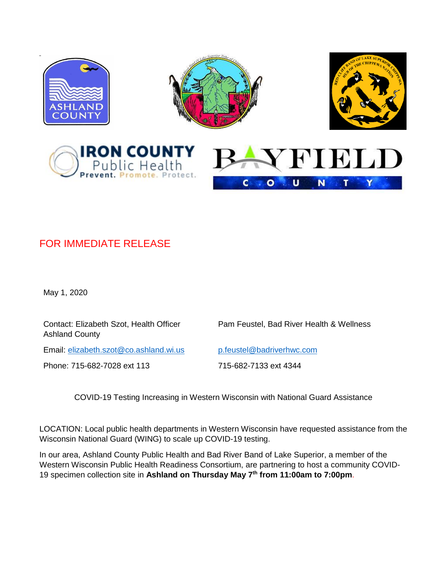

## FOR IMMEDIATE RELEASE

May 1, 2020

Contact: Elizabeth Szot, Health Officer Ashland County

Pam Feustel, Bad River Health & Wellness

Email: [elizabeth.szot@co.ashland.wi.us](mailto:elizabeth.szot@co.ashland.wi.us) [p.feustel@badriverhwc.com](mailto:p.feustel@badriverhwc.com)

Phone: 715-682-7028 ext 113 715-682-7133 ext 4344

COVID-19 Testing Increasing in Western Wisconsin with National Guard Assistance

LOCATION: Local public health departments in Western Wisconsin have requested assistance from the Wisconsin National Guard (WING) to scale up COVID-19 testing.

In our area, Ashland County Public Health and Bad River Band of Lake Superior, a member of the Western Wisconsin Public Health Readiness Consortium, are partnering to host a community COVID-19 specimen collection site in **Ashland on Thursday May 7 th from 11:00am to 7:00pm**.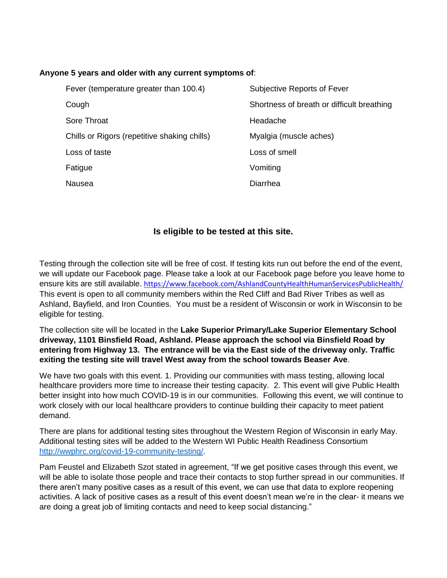## **Anyone 5 years and older with any current symptoms of**:

| Fever (temperature greater than 100.4)       | Subjective Reports of Fever                |
|----------------------------------------------|--------------------------------------------|
| Cough                                        | Shortness of breath or difficult breathing |
| Sore Throat                                  | Headache                                   |
| Chills or Rigors (repetitive shaking chills) | Myalgia (muscle aches)                     |
| Loss of taste                                | Loss of smell                              |
| Fatigue                                      | Vomiting                                   |
| <b>Nausea</b>                                | Diarrhea                                   |

## **Is eligible to be tested at this site.**

Testing through the collection site will be free of cost. If testing kits run out before the end of the event, we will update our Facebook page. Please take a look at our Facebook page before you leave home to ensure kits are still available. <https://www.facebook.com/AshlandCountyHealthHumanServicesPublicHealth/> This event is open to all community members within the Red Cliff and Bad River Tribes as well as Ashland, Bayfield, and Iron Counties. You must be a resident of Wisconsin or work in Wisconsin to be eligible for testing.

## The collection site will be located in the **Lake Superior Primary/Lake Superior Elementary School driveway, 1101 Binsfield Road, Ashland. Please approach the school via Binsfield Road by entering from Highway 13. The entrance will be via the East side of the driveway only. Traffic exiting the testing site will travel West away from the school towards Beaser Ave**.

We have two goals with this event. 1. Providing our communities with mass testing, allowing local healthcare providers more time to increase their testing capacity. 2. This event will give Public Health better insight into how much COVID-19 is in our communities. Following this event, we will continue to work closely with our local healthcare providers to continue building their capacity to meet patient demand.

There are plans for additional testing sites throughout the Western Region of Wisconsin in early May. Additional testing sites will be added to the Western WI Public Health Readiness Consortium [http://wwphrc.org/covid-19-community-testing/.](http://wwphrc.org/covid-19-community-testing/)

Pam Feustel and Elizabeth Szot stated in agreement, "If we get positive cases through this event, we will be able to isolate those people and trace their contacts to stop further spread in our communities. If there aren't many positive cases as a result of this event, we can use that data to explore reopening activities. A lack of positive cases as a result of this event doesn't mean we're in the clear- it means we are doing a great job of limiting contacts and need to keep social distancing."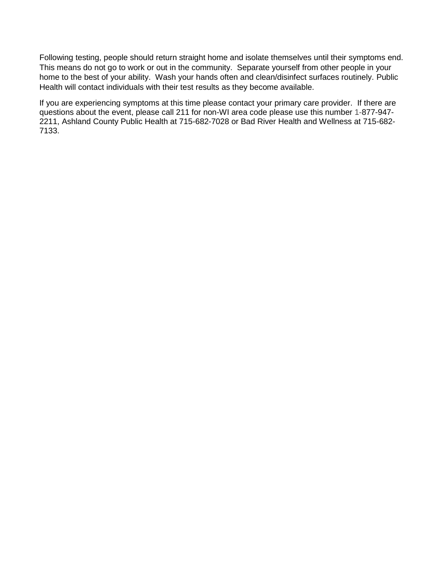Following testing, people should return straight home and isolate themselves until their symptoms end. This means do not go to work or out in the community. Separate yourself from other people in your home to the best of your ability. Wash your hands often and clean/disinfect surfaces routinely. Public Health will contact individuals with their test results as they become available.

If you are experiencing symptoms at this time please contact your primary care provider. If there are questions about the event, please call 211 for non-WI area code please use this number 1-877-947- 2211, Ashland County Public Health at 715-682-7028 or Bad River Health and Wellness at 715-682- 7133.